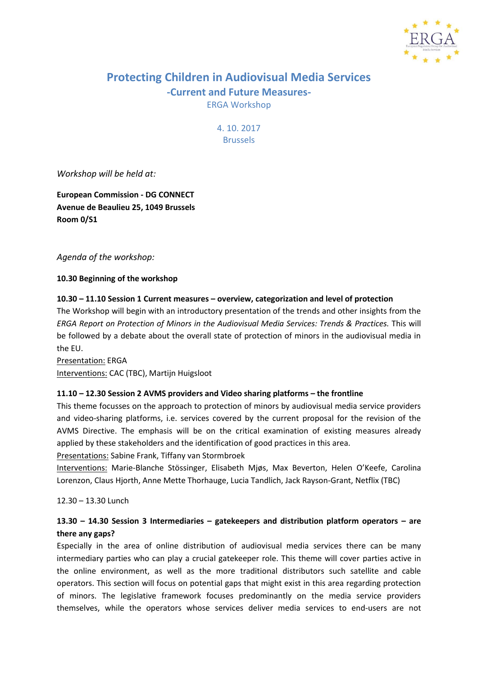

# **Protecting Children in Audiovisual Media Services -Current and Future Measures-**ERGA Workshop

4. 10. 2017 Brussels

*Workshop will be held at:*

**European Commission - DG CONNECT Avenue de Beaulieu 25, 1049 Brussels Room 0/S1**

*Agenda of the workshop:*

**10.30 Beginning of the workshop**

### **10.30 – 11.10 Session 1 Current measures – overview, categorization and level of protection**

The Workshop will begin with an introductory presentation of the trends and other insights from the *ERGA Report on Protection of Minors in the Audiovisual Media Services: Trends & Practices.* This will be followed by a debate about the overall state of protection of minors in the audiovisual media in the EU.

Presentation: ERGA Interventions: CAC (TBC), Martijn Huigsloot

### **11.10 – 12.30 Session 2 AVMS providers and Video sharing platforms – the frontline**

This theme focusses on the approach to protection of minors by audiovisual media service providers and video-sharing platforms, i.e. services covered by the current proposal for the revision of the AVMS Directive. The emphasis will be on the critical examination of existing measures already applied by these stakeholders and the identification of good practices in this area.

Presentations: Sabine Frank, Tiffany van Stormbroek

Interventions: Marie-Blanche Stössinger, Elisabeth Mjøs, Max Beverton, Helen O'Keefe, Carolina Lorenzon, Claus Hjorth, Anne Mette Thorhauge, Lucia Tandlich, Jack Rayson-Grant, Netflix (TBC)

12.30 – 13.30 Lunch

# **13.30 – 14.30 Session 3 Intermediaries – gatekeepers and distribution platform operators – are there any gaps?**

Especially in the area of online distribution of audiovisual media services there can be many intermediary parties who can play a crucial gatekeeper role. This theme will cover parties active in the online environment, as well as the more traditional distributors such satellite and cable operators. This section will focus on potential gaps that might exist in this area regarding protection of minors. The legislative framework focuses predominantly on the media service providers themselves, while the operators whose services deliver media services to end-users are not